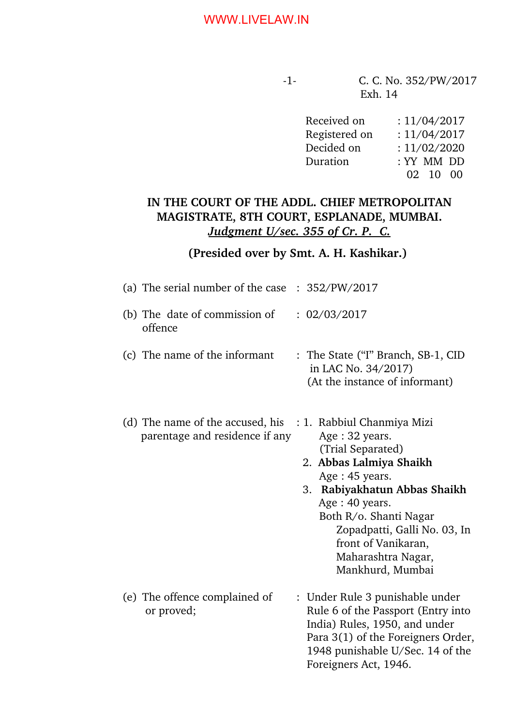| Received on   | : 11/04/2017           |
|---------------|------------------------|
| Registered on | : 11/04/2017           |
| Decided on    | : 11/02/2020           |
| Duration      | : YY MM DD             |
|               | $02 \quad 10 \quad 00$ |

# **IN THE COURT OF THE ADDL. CHIEF METROPOLITAN MAGISTRATE, 8TH COURT, ESPLANADE, MUMBAI.** *Judgment U/sec. 355 of Cr. P. C.*

# **(Presided over by Smt. A. H. Kashikar.)**

| (a) The serial number of the case $\therefore$ 352/PW/2017         |                                                                                                                                                                                                                                                                                                |
|--------------------------------------------------------------------|------------------------------------------------------------------------------------------------------------------------------------------------------------------------------------------------------------------------------------------------------------------------------------------------|
| (b) The date of commission of<br>offence                           | : 02/03/2017                                                                                                                                                                                                                                                                                   |
| (c) The name of the informant                                      | : The State ("I" Branch, SB-1, CID<br>in LAC No. 34/2017)<br>(At the instance of informant)                                                                                                                                                                                                    |
| (d) The name of the accused, his<br>parentage and residence if any | : 1. Rabbiul Chanmiya Mizi<br>Age: 32 years.<br>(Trial Separated)<br>2. Abbas Lalmiya Shaikh<br>Age: 45 years.<br>Rabiyakhatun Abbas Shaikh<br>3.<br>Age: 40 years.<br>Both R/o. Shanti Nagar<br>Zopadpatti, Galli No. 03, In<br>front of Vanikaran,<br>Maharashtra Nagar,<br>Mankhurd, Mumbai |
| (e) The offence complained of<br>or proved;                        | : Under Rule 3 punishable under<br>Rule 6 of the Passport (Entry into<br>India) Rules, 1950, and under<br>Para 3(1) of the Foreigners Order,<br>1948 punishable U/Sec. 14 of the<br>Foreigners Act, 1946.                                                                                      |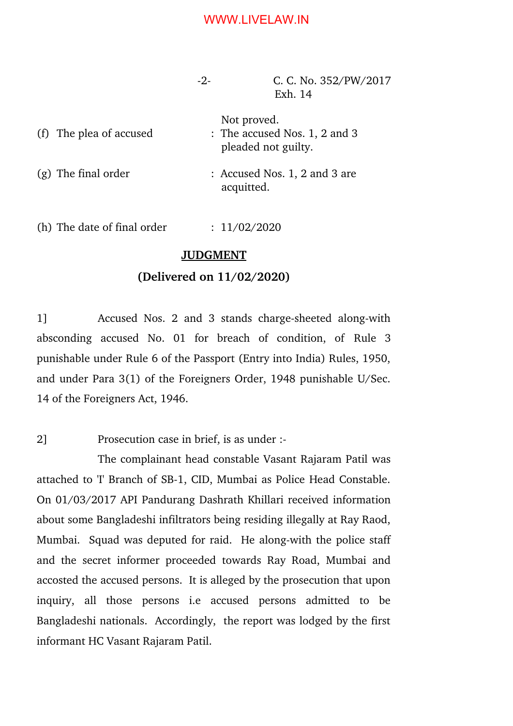$-2$ - C. C. No. 352/PW/2017 Exh. 14

| (f) The plea of accused | Not proved.<br>: The accused Nos. 1, 2 and 3<br>pleaded not guilty. |
|-------------------------|---------------------------------------------------------------------|
| $(g)$ The final order   | : Accused Nos. 1, 2 and 3 are<br>acquitted.                         |

(h) The date of final order  $\therefore$  11/02/2020

#### **JUDGMENT**

#### **(Delivered on 11/02/2020)**

1] Accused Nos. 2 and 3 stands charge-sheeted along-with absconding accused No. 01 for breach of condition, of Rule 3 punishable under Rule 6 of the Passport (Entry into India) Rules, 1950, and under Para 3(1) of the Foreigners Order, 1948 punishable U/Sec. 14 of the Foreigners Act, 1946.

2] Prosecution case in brief, is as under :

The complainant head constable Vasant Rajaram Patil was attached to 'I' Branch of SB-1, CID, Mumbai as Police Head Constable. On 01/03/2017 API Pandurang Dashrath Khillari received information about some Bangladeshi infiltrators being residing illegally at Ray Raod, Mumbai. Squad was deputed for raid. He along-with the police staff and the secret informer proceeded towards Ray Road, Mumbai and accosted the accused persons. It is alleged by the prosecution that upon inquiry, all those persons i.e accused persons admitted to be Bangladeshi nationals. Accordingly, the report was lodged by the first informant HC Vasant Rajaram Patil.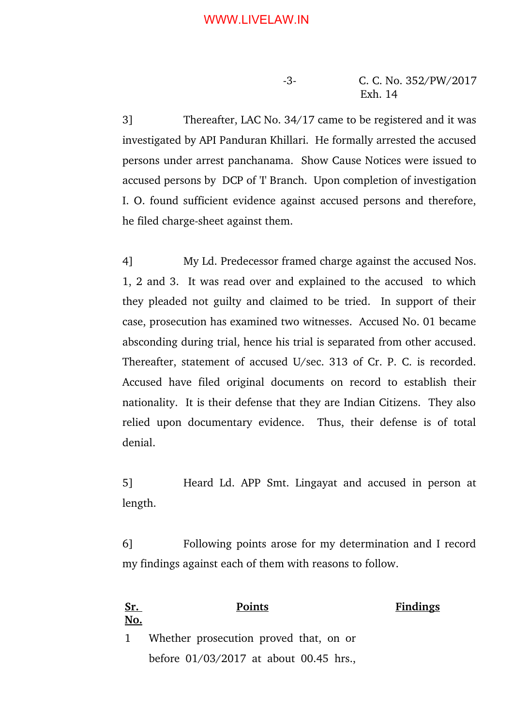3] Thereafter, LAC No. 34/17 came to be registered and it was investigated by API Panduran Khillari. He formally arrested the accused persons under arrest panchanama. Show Cause Notices were issued to accused persons by DCP of 'I' Branch. Upon completion of investigation I. O. found sufficient evidence against accused persons and therefore, he filed charge-sheet against them.

4] My Ld. Predecessor framed charge against the accused Nos. 1, 2 and 3. It was read over and explained to the accused to which they pleaded not guilty and claimed to be tried. In support of their case, prosecution has examined two witnesses. Accused No. 01 became absconding during trial, hence his trial is separated from other accused. Thereafter, statement of accused U/sec. 313 of Cr. P. C. is recorded. Accused have filed original documents on record to establish their nationality. It is their defense that they are Indian Citizens. They also relied upon documentary evidence. Thus, their defense is of total denial.

5] Heard Ld. APP Smt. Lingayat and accused in person at length.

6] Following points arose for my determination and I record my findings against each of them with reasons to follow.

**Sr. No. Points Findings** 1 Whether prosecution proved that, on or before 01/03/2017 at about 00.45 hrs.,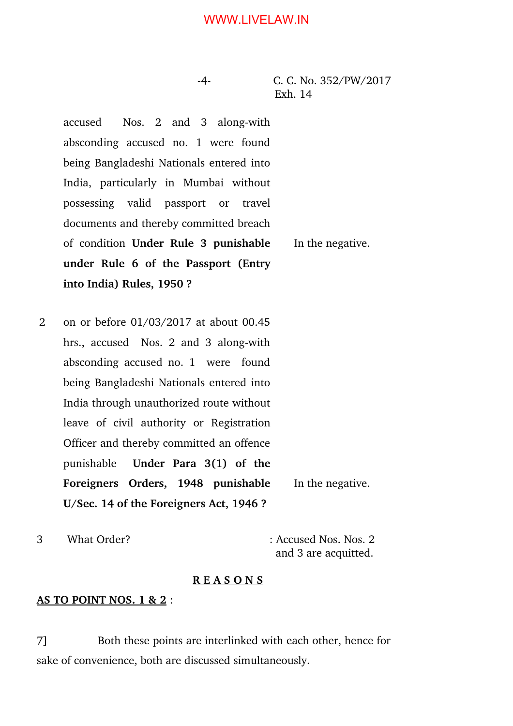4 C. C. No. 352/PW/2017 Exh. 14

accused Nos. 2 and 3 along-with absconding accused no. 1 were found being Bangladeshi Nationals entered into India, particularly in Mumbai without possessing valid passport or travel documents and thereby committed breach of condition **Under Rule 3 punishable under Rule 6 of the Passport (Entry into India) Rules, 1950 ?**

2 on or before 01/03/2017 at about 00.45 hrs., accused Nos. 2 and 3 along-with absconding accused no. 1 were found being Bangladeshi Nationals entered into India through unauthorized route without leave of civil authority or Registration Officer and thereby committed an offence punishable **Under Para 3(1) of the Foreigners Orders, 1948 punishable U/Sec. 14 of the Foreigners Act, 1946 ?** In the negative.

3 What Order? : Accused Nos. Nos. 2

and 3 are acquitted.

#### **R E A S O N S**

#### **AS TO POINT NOS. 1 & 2** :

7] Both these points are interlinked with each other, hence for sake of convenience, both are discussed simultaneously.

In the negative.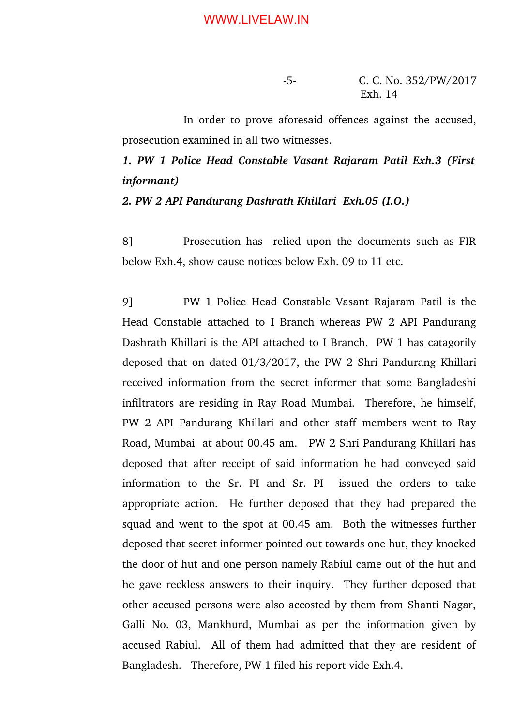In order to prove aforesaid offences against the accused, prosecution examined in all two witnesses.

*1. PW 1 Police Head Constable Vasant Rajaram Patil Exh.3 (First informant)*

*2. PW 2 API Pandurang Dashrath Khillari Exh.05 (I.O.)*

8] Prosecution has relied upon the documents such as FIR below Exh.4, show cause notices below Exh. 09 to 11 etc.

9] PW 1 Police Head Constable Vasant Rajaram Patil is the Head Constable attached to I Branch whereas PW 2 API Pandurang Dashrath Khillari is the API attached to I Branch. PW 1 has catagorily deposed that on dated 01/3/2017, the PW 2 Shri Pandurang Khillari received information from the secret informer that some Bangladeshi infiltrators are residing in Ray Road Mumbai. Therefore, he himself, PW 2 API Pandurang Khillari and other staff members went to Ray Road, Mumbai at about 00.45 am. PW 2 Shri Pandurang Khillari has deposed that after receipt of said information he had conveyed said information to the Sr. PI and Sr. PI issued the orders to take appropriate action. He further deposed that they had prepared the squad and went to the spot at 00.45 am. Both the witnesses further deposed that secret informer pointed out towards one hut, they knocked the door of hut and one person namely Rabiul came out of the hut and he gave reckless answers to their inquiry. They further deposed that other accused persons were also accosted by them from Shanti Nagar, Galli No. 03, Mankhurd, Mumbai as per the information given by accused Rabiul. All of them had admitted that they are resident of Bangladesh. Therefore, PW 1 filed his report vide Exh.4.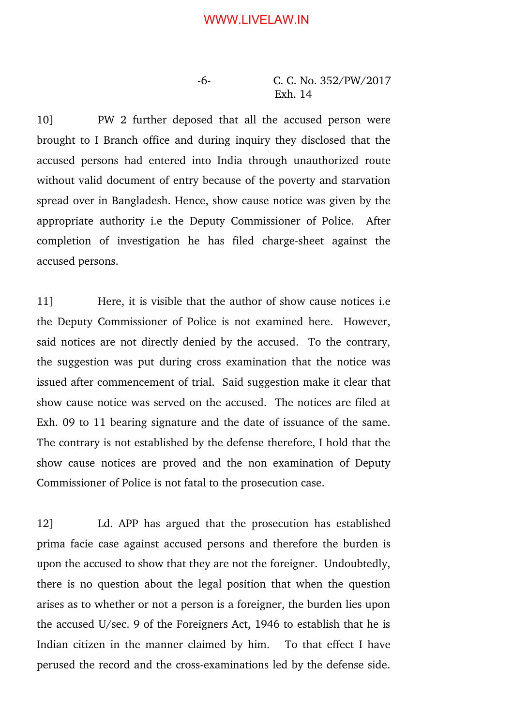6 C. C. No. 352/PW/2017 Exh. 14

10] PW 2 further deposed that all the accused person were brought to I Branch office and during inquiry they disclosed that the accused persons had entered into India through unauthorized route without valid document of entry because of the poverty and starvation spread over in Bangladesh. Hence, show cause notice was given by the appropriate authority i.e the Deputy Commissioner of Police. After completion of investigation he has filed charge-sheet against the accused persons.

11] Here, it is visible that the author of show cause notices i.e the Deputy Commissioner of Police is not examined here. However, said notices are not directly denied by the accused. To the contrary, the suggestion was put during cross examination that the notice was issued after commencement of trial. Said suggestion make it clear that show cause notice was served on the accused. The notices are filed at Exh. 09 to 11 bearing signature and the date of issuance of the same. The contrary is not established by the defense therefore, I hold that the show cause notices are proved and the non examination of Deputy Commissioner of Police is not fatal to the prosecution case.

12] Ld. APP has argued that the prosecution has established prima facie case against accused persons and therefore the burden is upon the accused to show that they are not the foreigner. Undoubtedly, there is no question about the legal position that when the question arises as to whether or not a person is a foreigner, the burden lies upon the accused U/sec. 9 of the Foreigners Act, 1946 to establish that he is Indian citizen in the manner claimed by him. To that effect I have perused the record and the cross-examinations led by the defense side.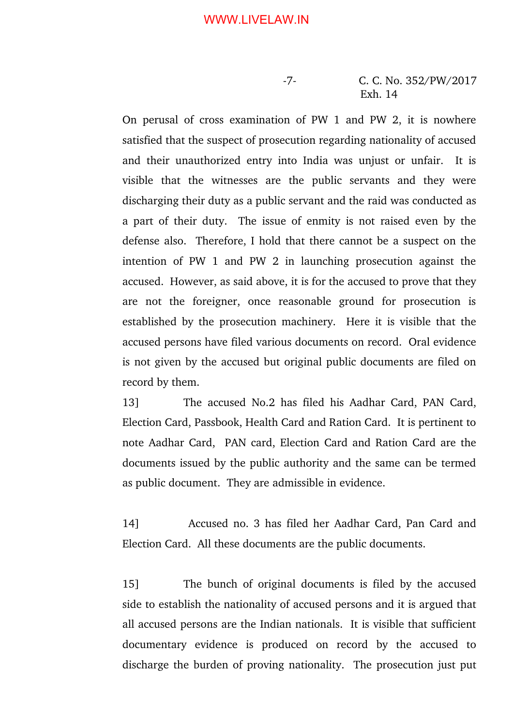On perusal of cross examination of PW 1 and PW 2, it is nowhere satisfied that the suspect of prosecution regarding nationality of accused and their unauthorized entry into India was unjust or unfair. It is visible that the witnesses are the public servants and they were discharging their duty as a public servant and the raid was conducted as a part of their duty. The issue of enmity is not raised even by the defense also. Therefore, I hold that there cannot be a suspect on the intention of  $PW_1$  and  $PW_2$  in launching prosecution against the accused. However, as said above, it is for the accused to prove that they are not the foreigner, once reasonable ground for prosecution is established by the prosecution machinery. Here it is visible that the accused persons have filed various documents on record. Oral evidence is not given by the accused but original public documents are filed on record by them.

13] The accused No.2 has filed his Aadhar Card, PAN Card, Election Card, Passbook, Health Card and Ration Card. It is pertinent to note Aadhar Card, PAN card, Election Card and Ration Card are the documents issued by the public authority and the same can be termed as public document. They are admissible in evidence.

14] Accused no. 3 has filed her Aadhar Card, Pan Card and Election Card. All these documents are the public documents.

15] The bunch of original documents is filed by the accused side to establish the nationality of accused persons and it is argued that all accused persons are the Indian nationals. It is visible that sufficient documentary evidence is produced on record by the accused to discharge the burden of proving nationality. The prosecution just put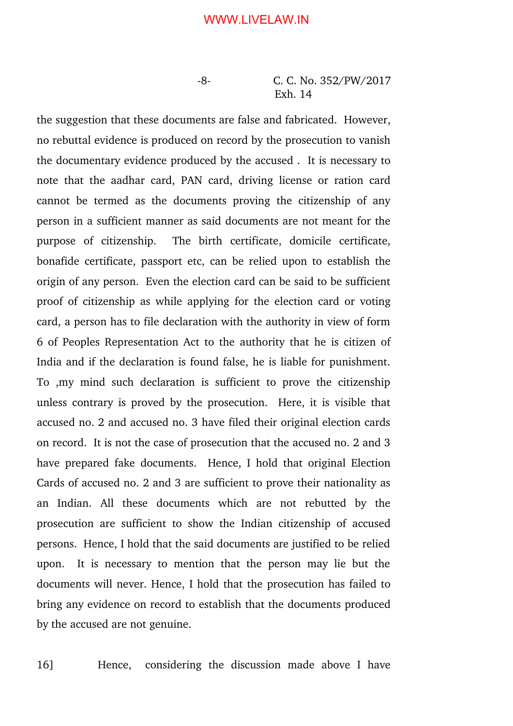8 C. C. No. 352/PW/2017 Exh. 14

the suggestion that these documents are false and fabricated. However, no rebuttal evidence is produced on record by the prosecution to vanish the documentary evidence produced by the accused . It is necessary to note that the aadhar card, PAN card, driving license or ration card cannot be termed as the documents proving the citizenship of any person in a sufficient manner as said documents are not meant for the purpose of citizenship. The birth certificate, domicile certificate, bonafide certificate, passport etc, can be relied upon to establish the origin of any person. Even the election card can be said to be sufficient proof of citizenship as while applying for the election card or voting card, a person has to file declaration with the authority in view of form 6 of Peoples Representation Act to the authority that he is citizen of India and if the declaration is found false, he is liable for punishment. To ,my mind such declaration is sufficient to prove the citizenship unless contrary is proved by the prosecution. Here, it is visible that accused no. 2 and accused no. 3 have filed their original election cards on record. It is not the case of prosecution that the accused no. 2 and 3 have prepared fake documents. Hence, I hold that original Election Cards of accused no. 2 and 3 are sufficient to prove their nationality as an Indian. All these documents which are not rebutted by the prosecution are sufficient to show the Indian citizenship of accused persons. Hence, I hold that the said documents are justified to be relied upon. It is necessary to mention that the person may lie but the documents will never. Hence, I hold that the prosecution has failed to bring any evidence on record to establish that the documents produced by the accused are not genuine.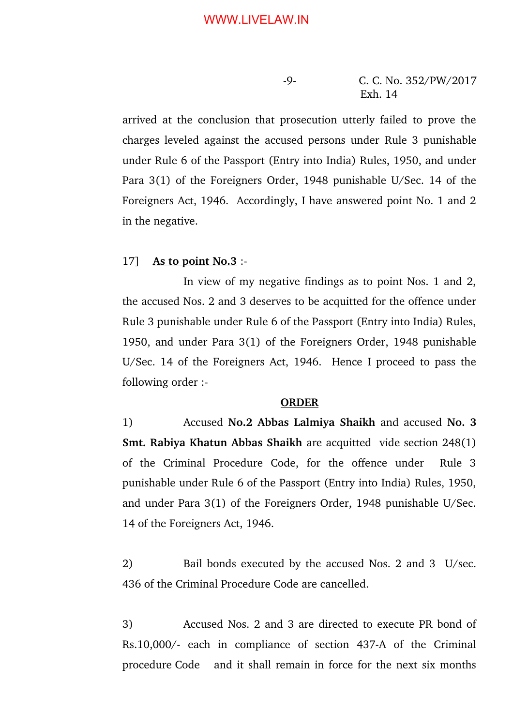arrived at the conclusion that prosecution utterly failed to prove the charges leveled against the accused persons under Rule 3 punishable under Rule 6 of the Passport (Entry into India) Rules, 1950, and under Para 3(1) of the Foreigners Order, 1948 punishable U/Sec. 14 of the Foreigners Act, 1946. Accordingly, I have answered point No. 1 and 2 in the negative.

#### 17] **As to point No.3** :

In view of my negative findings as to point Nos. 1 and 2, the accused Nos. 2 and 3 deserves to be acquitted for the offence under Rule 3 punishable under Rule 6 of the Passport (Entry into India) Rules, 1950, and under Para 3(1) of the Foreigners Order, 1948 punishable U/Sec. 14 of the Foreigners Act, 1946. Hence I proceed to pass the following order :

#### **ORDER**

1) Accused **No.2 Abbas Lalmiya Shaikh** and accused **No. 3 Smt. Rabiya Khatun Abbas Shaikh** are acquitted vide section 248(1) of the Criminal Procedure Code, for the offence under Rule 3 punishable under Rule 6 of the Passport (Entry into India) Rules, 1950, and under Para 3(1) of the Foreigners Order, 1948 punishable U/Sec. 14 of the Foreigners Act, 1946.

2) Bail bonds executed by the accused Nos. 2 and 3 U/sec. 436 of the Criminal Procedure Code are cancelled.

3) Accused Nos. 2 and 3 are directed to execute PR bond of Rs.10,000/- each in compliance of section 437-A of the Criminal procedure Code and it shall remain in force for the next six months